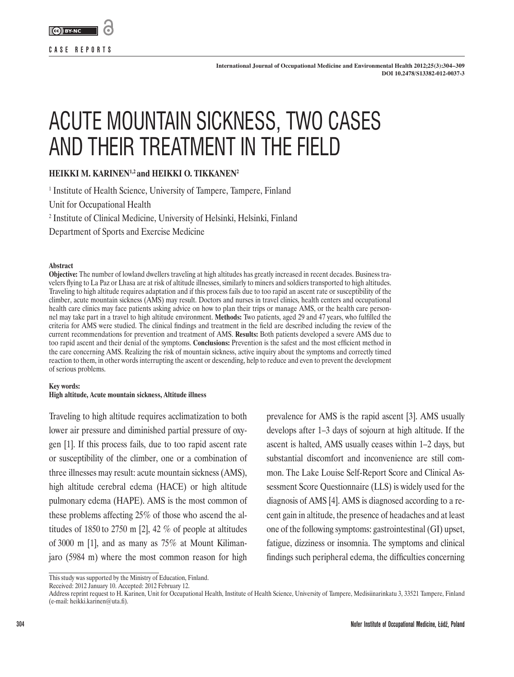

**CASE REPORTS**

# ACUTE MOUNTAIN SICKNESS, TWO CASES AND THEIR TREATMENT IN THE FIELD

HEIKKI M. KARINEN<sup>1,2</sup> and HEIKKI O. TIKKANEN<sup>2</sup>

<sup>1</sup> Institute of Health Science, University of Tampere, Tampere, Finland

Unit for Occupational Health

2 Institute of Clinical Medicine, University of Helsinki, Helsinki, Finland

Department of Sports and Exercise Medicine

## **Abstract**

**Objective:** The number of lowland dwellers traveling at high altitudes has greatly increased in recent decades. Business travelers flying to La Paz or Lhasa are at risk of altitude illnesses, similarly to miners and soldiers transported to high altitudes. Traveling to high altitude requires adaptation and if this process fails due to too rapid an ascent rate or susceptibility of the climber, acute mountain sickness (AMS) may result. Doctors and nurses in travel clinics, health centers and occupational health care clinics may face patients asking advice on how to plan their trips or manage AMS, or the health care personnel may take part in a travel to high altitude environment. **Methods:** Two patients, aged 29 and 47 years, who fulfilled the criteria for AMS were studied. The clinical findings and treatment in the field are described including the review of the current recommendations for prevention and treatment of AMS. **Results:** Both patients developed a severe AMS due to too rapid ascent and their denial of the symptoms. **Conclusions:** Prevention is the safest and the most efficient method in the care concerning AMS. Realizing the risk of mountain sickness, active inquiry about the symptoms and correctly timed reaction to them, in other words interrupting the ascent or descending, help to reduce and even to prevent the development of serious problems.

## **Key words:**

## **High altitude, Acute mountain sickness, Altitude illness**

Traveling to high altitude requires acclimatization to both lower air pressure and diminished partial pressure of oxygen [1]. If this process fails, due to too rapid ascent rate or susceptibility of the climber, one or a combination of three illnesses may result: acute mountain sickness (AMS), high altitude cerebral edema (HACE) or high altitude pulmonary edema (HAPE). AMS is the most common of these problems affecting 25% of those who ascend the altitudes of 1850 to 2750 m [2], 42 % of people at altitudes of 3000 m [1], and as many as 75% at Mount Kilimanjaro (5984 m) where the most common reason for high prevalence for AMS is the rapid ascent [3]. AMS usually develops after 1–3 days of sojourn at high altitude. If the ascent is halted, AMS usually ceases within 1–2 days, but substantial discomfort and inconvenience are still common. The Lake Louise Self-Report Score and Clinical Assessment Score Questionnaire (LLS) is widely used for the diagnosis of AMS [4]. AMS is diagnosed according to a recent gain in altitude, the presence of headaches and at least one of the following symptoms: gastrointestinal (GI) upset, fatigue, dizziness or insomnia. The symptoms and clinical findings such peripheral edema, the difficulties concerning

This study was supported by the Ministry of Education, Finland.

Received: 2012 January 10. Accepted: 2012 February 12.

Address reprint request to H. Karinen, Unit for Occupational Health, Institute of Health Science, University of Tampere, Medisiinarinkatu 3, 33521 Tampere, Finland (e-mail: heikki.karinen@uta.fi).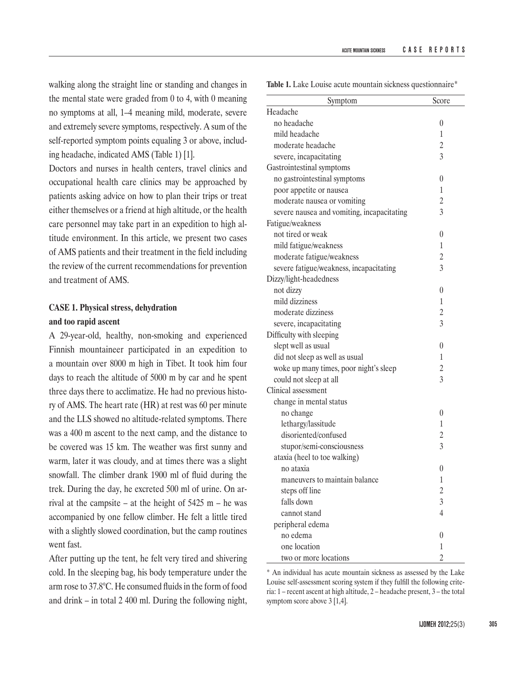walking along the straight line or standing and changes in the mental state were graded from 0 to 4, with 0 meaning no symptoms at all, 1–4 meaning mild, moderate, severe and extremely severe symptoms, respectively. A sum of the self-reported symptom points equaling 3 or above, including headache, indicated AMS (Table 1) [1].

Doctors and nurses in health centers, travel clinics and occupational health care clinics may be approached by patients asking advice on how to plan their trips or treat either themselves or a friend at high altitude, or the health care personnel may take part in an expedition to high altitude environment. In this article, we present two cases of AMS patients and their treatment in the field including the review of the current recommendations for prevention and treatment of AMS.

## **CASE 1. Physical stress, dehydration and too rapid ascent**

A 29-year-old, healthy, non-smoking and experienced Finnish mountaineer participated in an expedition to a mountain over 8000 m high in Tibet. It took him four days to reach the altitude of 5000 m by car and he spent three days there to acclimatize. He had no previous history of AMS. The heart rate (HR) at rest was 60 per minute and the LLS showed no altitude-related symptoms. There was a 400 m ascent to the next camp, and the distance to be covered was 15 km. The weather was first sunny and warm, later it was cloudy, and at times there was a slight snowfall. The climber drank 1900 ml of fluid during the trek. During the day, he excreted 500 ml of urine. On arrival at the campsite – at the height of  $5425$  m – he was accompanied by one fellow climber. He felt a little tired with a slightly slowed coordination, but the camp routines went fast.

After putting up the tent, he felt very tired and shivering cold. In the sleeping bag, his body temperature under the arm rose to 37.8°C. He consumed fluids in the form of food and drink – in total 2 400 ml. During the following night,

**Table 1.** Lake Louise acute mountain sickness questionnaire\*

| Symptom                                    | Score            |
|--------------------------------------------|------------------|
| Headache                                   |                  |
| no headache                                | $\boldsymbol{0}$ |
| mild headache                              | 1                |
| moderate headache                          | $\overline{c}$   |
| severe, incapacitating                     | 3                |
| Gastrointestinal symptoms                  |                  |
| no gastrointestinal symptoms               | $\overline{0}$   |
| poor appetite or nausea                    | 1                |
| moderate nausea or vomiting                | $\overline{2}$   |
| severe nausea and vomiting, incapacitating | 3                |
| Fatigue/weakness                           |                  |
| not tired or weak                          | 0                |
| mild fatigue/weakness                      | 1                |
| moderate fatigue/weakness                  | $\overline{c}$   |
| severe fatigue/weakness, incapacitating    | 3                |
| Dizzy/light-headedness                     |                  |
| not dizzy                                  | $\theta$         |
| mild dizziness                             | 1                |
| moderate dizziness                         | $\overline{c}$   |
| severe, incapacitating                     | 3                |
| Difficulty with sleeping                   |                  |
| slept well as usual                        | $\theta$         |
| did not sleep as well as usual             | 1                |
| woke up many times, poor night's sleep     | $\overline{c}$   |
| could not sleep at all                     | 3                |
| Clinical assessment                        |                  |
| change in mental status                    |                  |
| no change                                  | $\boldsymbol{0}$ |
| lethargy/lassitude                         | 1                |
| disoriented/confused                       | 2                |
| stupor/semi-consciousness                  | 3                |
| ataxia (heel to toe walking)               |                  |
| no ataxia                                  | $\theta$         |
| maneuvers to maintain balance              | $\mathbf{1}$     |
| steps off line                             | $\overline{c}$   |
| falls down                                 | 3                |
| cannot stand                               | $\overline{4}$   |
| peripheral edema                           |                  |
| no edema                                   | $\theta$         |
| one location                               | $\mathbf{1}$     |
| two or more locations                      | $\overline{2}$   |

\* An individual has acute mountain sickness as assessed by the Lake Louise self-assessment scoring system if they fulfill the following criteria: 1 – recent ascent at high altitude, 2 – headache present, 3 – the total symptom score above 3 [1,4].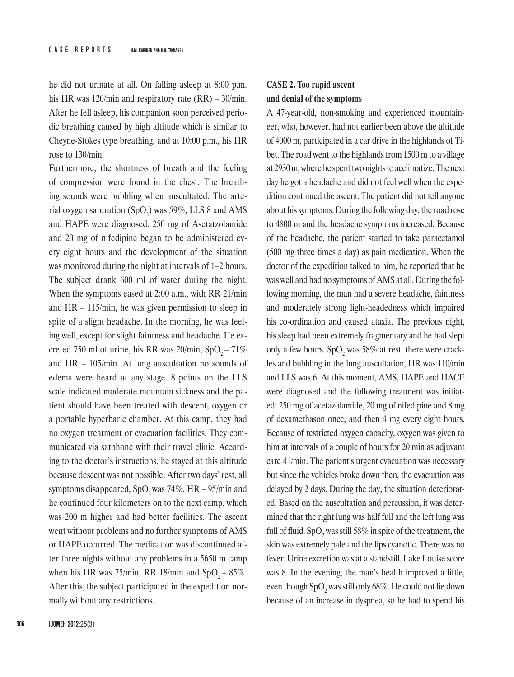he did not urinate at all. On falling asleep at 8:00 p.m. his HR was 120/min and respiratory rate  $(RR) - 30$ /min. After he fell asleep, his companion soon perceived periodic breathing caused by high altitude which is similar to Cheyne-Stokes type breathing, and at 10:00 p.m., his HR rose to 130/min.

Furthermore, the shortness of breath and the feeling of compression were found in the chest. The breathing sounds were bubbling when auscultated. The arterial oxygen saturation (SpO<sub>2</sub>) was 59%, LLS 8 and AMS and HAPE were diagnosed. 250 mg of Asetatzolamide and 20 mg of nifedipine began to be administered every eight hours and the development of the situation was monitored during the night at intervals of 1–2 hours. The subject drank 600 ml of water during the night. When the symptoms eased at 2:00 a.m., with RR 21/min and HR – 115/min, he was given permission to sleep in spite of a slight headache. In the morning, he was feeling well, except for slight faintness and headache. He excreted 750 ml of urine, his RR was  $20/\text{min}$ , SpO<sub>2</sub> – 71% and HR – 105/min. At lung auscultation no sounds of edema were heard at any stage. 8 points on the LLS scale indicated moderate mountain sickness and the patient should have been treated with descent, oxygen or a portable hyperbaric chamber. At this camp, they had no oxygen treatment or evacuation facilities. They communicated via satphone with their travel clinic. According to the doctor's instructions, he stayed at this altitude because descent was not possible. After two days' rest, all symptoms disappeared, SpO<sub>2</sub> was  $74\%$ , HR – 95/min and he continued four kilometers on to the next camp, which was 200 m higher and had better facilities. The ascent went without problems and no further symptoms of AMS or HAPE occurred. The medication was discontinued after three nights without any problems in a 5650 m camp when his HR was  $75/\text{min}$ , RR 18/min and SpO<sub>2</sub> – 85%. After this, the subject participated in the expedition normally without any restrictions.

## **306 IJOMEH 2012;**25(3)

## **CASE 2. Too rapid ascent and denial of the symptoms**

A 47-year-old, non-smoking and experienced mountaineer, who, however, had not earlier been above the altitude of 4000 m, participated in a car drive in the highlands of Tibet. The road went to the highlands from 1500 m to a village at 2930 m, where he spent two nights to acclimatize. The next day he got a headache and did not feel well when the expedition continued the ascent. The patient did not tell anyone about his symptoms. During the following day, the road rose to 4800 m and the headache symptoms increased. Because of the headache, the patient started to take paracetamol (500 mg three times a day) as pain medication. When the doctor of the expedition talked to him, he reported that he was well and had no symptoms of AMS at all. During the following morning, the man had a severe headache, faintness and moderately strong light-headedness which impaired his co-ordination and caused ataxia. The previous night, his sleep had been extremely fragmentary and he had slept only a few hours.  $SpO<sub>2</sub>$  was 58% at rest, there were crackles and bubbling in the lung auscultation, HR was 110/min and LLS was 6. At this moment, AMS, HAPE and HACE were diagnosed and the following treatment was initiated: 250 mg of acetazolamide, 20 mg of nifedipine and 8 mg of dexamethason once, and then 4 mg every eight hours. Because of restricted oxygen capacity, oxygen was given to him at intervals of a couple of hours for 20 min as adjuvant care 4 l/min. The patient's urgent evacuation was necessary but since the vehicles broke down then, the evacuation was delayed by 2 days. During the day, the situation deteriorated. Based on the auscultation and percussion, it was determined that the right lung was half full and the left lung was full of fluid. SpO<sub>2</sub> was still 58% in spite of the treatment, the skin was extremely pale and the lips cyanotic. There was no fever. Urine excretion was at a standstill. Lake Louise score was 8. In the evening, the man's health improved a little, even though SpO<sub>2</sub> was still only 68%. He could not lie down because of an increase in dyspnea, so he had to spend his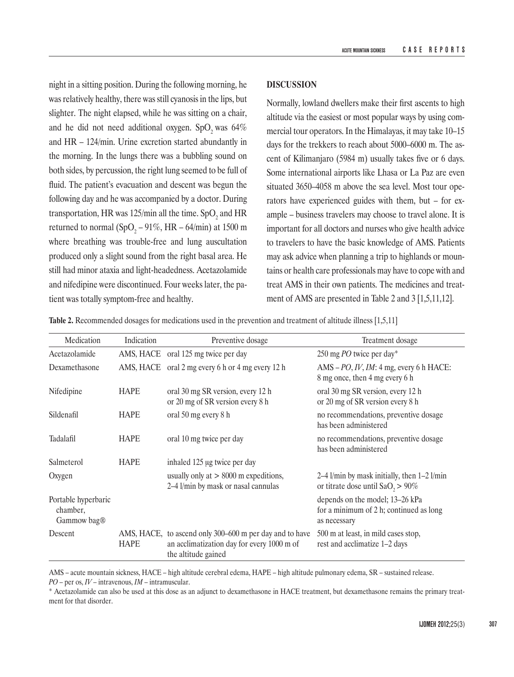night in a sitting position. During the following morning, he was relatively healthy, there was still cyanosis in the lips, but slighter. The night elapsed, while he was sitting on a chair, and he did not need additional oxygen. SpO<sub>2</sub> was  $64\%$ and HR – 124/min. Urine excretion started abundantly in the morning. In the lungs there was a bubbling sound on both sides, by percussion, the right lung seemed to be full of fluid. The patient's evacuation and descent was begun the following day and he was accompanied by a doctor. During transportation, HR was  $125/m$ in all the time. SpO<sub>2</sub> and HR returned to normal (SpO<sub>2</sub> – 91%, HR – 64/min) at 1500 m where breathing was trouble-free and lung auscultation produced only a slight sound from the right basal area. He still had minor ataxia and light-headedness. Acetazolamide and nifedipine were discontinued. Four weeks later, the patient was totally symptom-free and healthy.

## **DISCUSSION**

Normally, lowland dwellers make their first ascents to high altitude via the easiest or most popular ways by using commercial tour operators. In the Himalayas, it may take 10–15 days for the trekkers to reach about 5000–6000 m. The ascent of Kilimanjaro (5984 m) usually takes five or 6 days. Some international airports like Lhasa or La Paz are even situated 3650–4058 m above the sea level. Most tour operators have experienced guides with them, but – for example – business travelers may choose to travel alone. It is important for all doctors and nurses who give health advice to travelers to have the basic knowledge of AMS. Patients may ask advice when planning a trip to highlands or mountains or health care professionals may have to cope with and treat AMS in their own patients. The medicines and treatment of AMS are presented in Table 2 and 3 [1,5,11,12].

| Medication                                     | Indication  | Preventive dosage                                                                                                            | Treatment dosage                                                                              |
|------------------------------------------------|-------------|------------------------------------------------------------------------------------------------------------------------------|-----------------------------------------------------------------------------------------------|
| Acetazolamide                                  |             | AMS, HACE oral 125 mg twice per day                                                                                          | 250 mg <i>PO</i> twice per day*                                                               |
| Dexamethasone                                  |             | AMS, HACE oral 2 mg every 6 h or 4 mg every 12 h                                                                             | AMS $-PO$ , IV, IM: 4 mg, every 6 h HACE:<br>8 mg once, then 4 mg every 6 h                   |
| Nifedipine                                     | <b>HAPE</b> | oral 30 mg SR version, every 12 h<br>or 20 mg of SR version every 8 h                                                        | oral 30 mg SR version, every 12 h<br>or 20 mg of SR version every 8 h                         |
| Sildenafil                                     | <b>HAPE</b> | oral 50 mg every 8 h                                                                                                         | no recommendations, preventive dosage<br>has been administered                                |
| Tadalafil                                      | <b>HAPE</b> | oral 10 mg twice per day                                                                                                     | no recommendations, preventive dosage<br>has been administered                                |
| Salmeterol                                     | <b>HAPE</b> | inhaled 125 µg twice per day                                                                                                 |                                                                                               |
| Oxygen                                         |             | usually only at $> 8000$ m expeditions,<br>2–4 l/min by mask or nasal cannulas                                               | 2–4 l/min by mask initially, then $1-2$ l/min<br>or titrate dose until SaO <sub>2</sub> > 90% |
| Portable hyperbaric<br>chamber,<br>Gammow bag® |             |                                                                                                                              | depends on the model; 13-26 kPa<br>for a minimum of 2 h; continued as long<br>as necessary    |
| Descent                                        | <b>HAPE</b> | AMS, HACE, to ascend only 300–600 m per day and to have<br>an acclimatization day for every 1000 m of<br>the altitude gained | 500 m at least, in mild cases stop,<br>rest and acclimatize 1-2 days                          |

**Table 2.** Recommended dosages for medications used in the prevention and treatment of altitude illness [1,5,11]

AMS – acute mountain sickness, HACE – high altitude cerebral edema, HAPE – high altitude pulmonary edema, SR – sustained release. *PO* – per os, *IV* – intravenous, *IM* – intramuscular.

\* Acetazolamide can also be used at this dose as an adjunct to dexamethasone in HACE treatment, but dexamethasone remains the primary treatment for that disorder.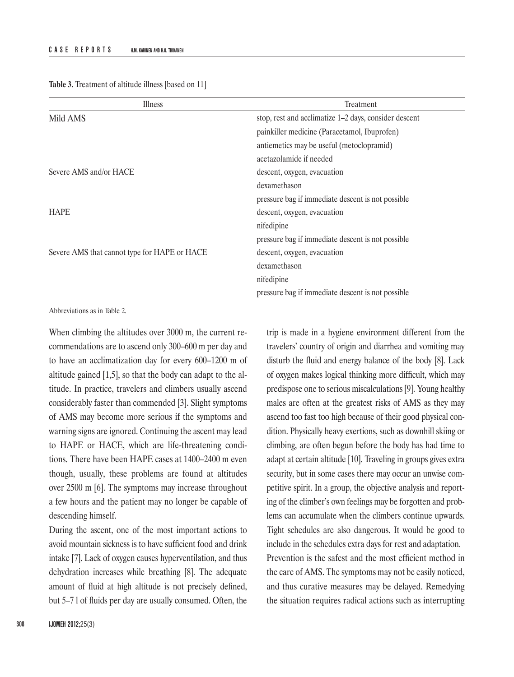| Illness                                      | Treatment                                             |
|----------------------------------------------|-------------------------------------------------------|
| Mild AMS                                     | stop, rest and acclimatize 1–2 days, consider descent |
|                                              | painkiller medicine (Paracetamol, Ibuprofen)          |
|                                              | antiemetics may be useful (metoclopramid)             |
|                                              | acetazolamide if needed                               |
| Severe AMS and/or HACE                       | descent, oxygen, evacuation                           |
|                                              | dexamethason                                          |
|                                              | pressure bag if immediate descent is not possible     |
| <b>HAPE</b>                                  | descent, oxygen, evacuation                           |
|                                              | nifedipine                                            |
|                                              | pressure bag if immediate descent is not possible     |
| Severe AMS that cannot type for HAPE or HACE | descent, oxygen, evacuation                           |
|                                              | dexamethason                                          |
|                                              | nifedipine                                            |
|                                              | pressure bag if immediate descent is not possible     |

**Table 3.** Treatment of altitude illness [based on 11]

Abbreviations as in Table 2.

When climbing the altitudes over 3000 m, the current recommendations are to ascend only 300–600 m per day and to have an acclimatization day for every 600–1200 m of altitude gained [1,5], so that the body can adapt to the altitude. In practice, travelers and climbers usually ascend considerably faster than commended [3]. Slight symptoms of AMS may become more serious if the symptoms and warning signs are ignored. Continuing the ascent may lead to HAPE or HACE, which are life-threatening conditions. There have been HAPE cases at 1400–2400 m even though, usually, these problems are found at altitudes over 2500 m [6]. The symptoms may increase throughout a few hours and the patient may no longer be capable of descending himself.

During the ascent, one of the most important actions to avoid mountain sickness is to have sufficient food and drink intake [7]. Lack of oxygen causes hyperventilation, and thus dehydration increases while breathing [8]. The adequate amount of fluid at high altitude is not precisely defined, but 5–7 l of fluids per day are usually consumed. Often, the

trip is made in a hygiene environment different from the travelers' country of origin and diarrhea and vomiting may disturb the fluid and energy balance of the body [8]. Lack of oxygen makes logical thinking more difficult, which may predispose one to serious miscalculations [9]. Young healthy males are often at the greatest risks of AMS as they may ascend too fast too high because of their good physical condition. Physically heavy exertions, such as downhill skiing or climbing, are often begun before the body has had time to adapt at certain altitude [10]. Traveling in groups gives extra security, but in some cases there may occur an unwise competitive spirit. In a group, the objective analysis and reporting of the climber's own feelings may be forgotten and problems can accumulate when the climbers continue upwards. Tight schedules are also dangerous. It would be good to include in the schedules extra days for rest and adaptation. Prevention is the safest and the most efficient method in the care of AMS. The symptoms may not be easily noticed, and thus curative measures may be delayed. Remedying the situation requires radical actions such as interrupting